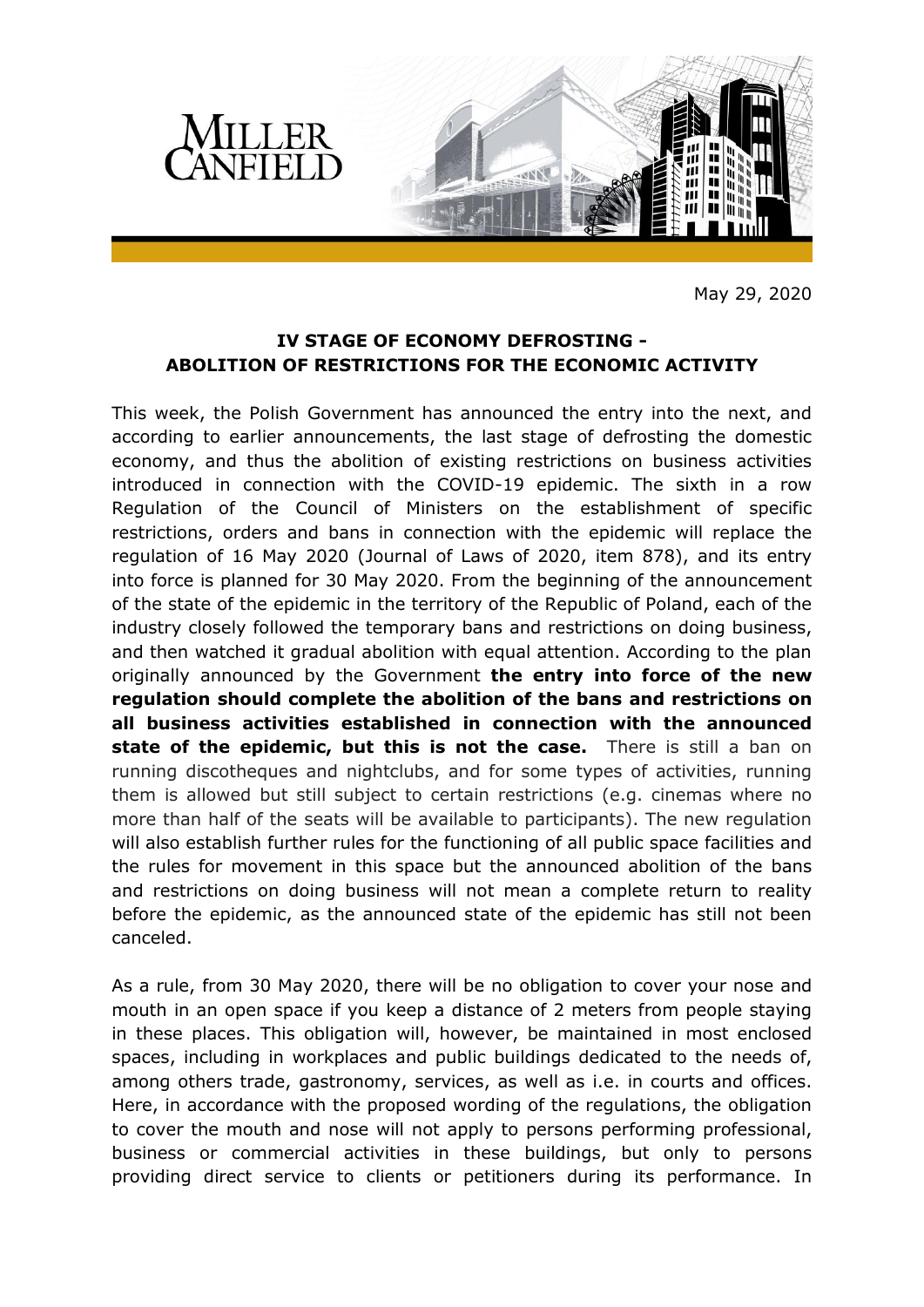

May 29, 2020

## **IV STAGE OF ECONOMY DEFROSTING - ABOLITION OF RESTRICTIONS FOR THE ECONOMIC ACTIVITY**

This week, the Polish Government has announced the entry into the next, and according to earlier announcements, the last stage of defrosting the domestic economy, and thus the abolition of existing restrictions on business activities introduced in connection with the COVID-19 epidemic. The sixth in a row Regulation of the Council of Ministers on the establishment of specific restrictions, orders and bans in connection with the epidemic will replace the regulation of 16 May 2020 (Journal of Laws of 2020, item 878), and its entry into force is planned for 30 May 2020. From the beginning of the announcement of the state of the epidemic in the territory of the Republic of Poland, each of the industry closely followed the temporary bans and restrictions on doing business, and then watched it gradual abolition with equal attention. According to the plan originally announced by the Government **the entry into force of the new regulation should complete the abolition of the bans and restrictions on all business activities established in connection with the announced state of the epidemic, but this is not the case.** There is still a ban on running discotheques and nightclubs, and for some types of activities, running them is allowed but still subject to certain restrictions (e.g. cinemas where no more than half of the seats will be available to participants). The new regulation will also establish further rules for the functioning of all public space facilities and the rules for movement in this space but the announced abolition of the bans and restrictions on doing business will not mean a complete return to reality before the epidemic, as the announced state of the epidemic has still not been canceled.

As a rule, from 30 May 2020, there will be no obligation to cover your nose and mouth in an open space if you keep a distance of 2 meters from people staying in these places. This obligation will, however, be maintained in most enclosed spaces, including in workplaces and public buildings dedicated to the needs of, among others trade, gastronomy, services, as well as i.e. in courts and offices. Here, in accordance with the proposed wording of the regulations, the obligation to cover the mouth and nose will not apply to persons performing professional, business or commercial activities in these buildings, but only to persons providing direct service to clients or petitioners during its performance. In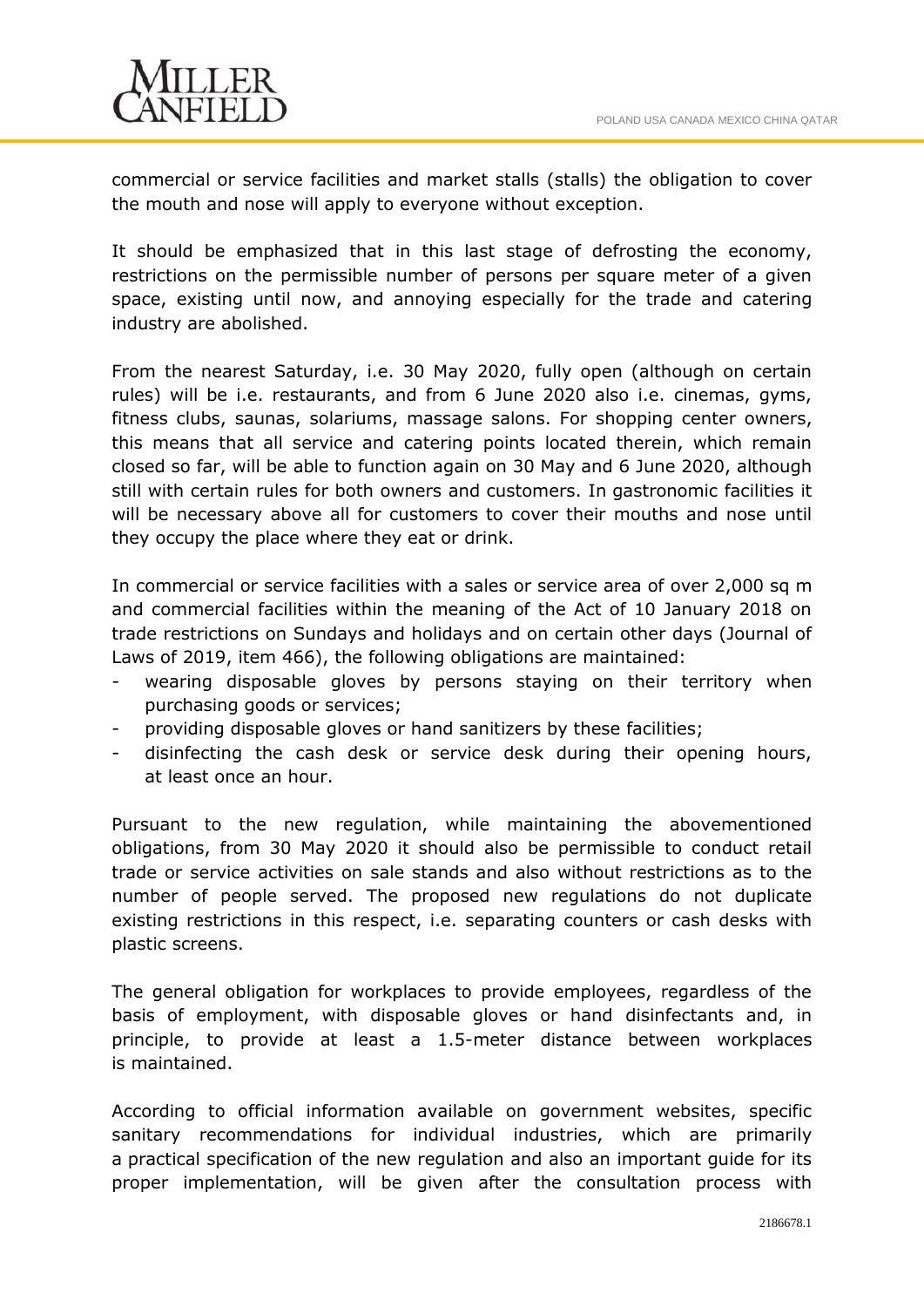

commercial or service facilities and market stalls (stalls) the obligation to cover the mouth and nose will apply to everyone without exception.

It should be emphasized that in this last stage of defrosting the economy, restrictions on the permissible number of persons per square meter of a given space, existing until now, and annoying especially for the trade and catering industry are abolished.

From the nearest Saturday, i.e. 30 May 2020, fully open (although on certain rules) will be i.e. restaurants, and from 6 June 2020 also i.e. cinemas, gyms, fitness clubs, saunas, solariums, massage salons. For shopping center owners, this means that all service and catering points located therein, which remain closed so far, will be able to function again on 30 May and 6 June 2020, although still with certain rules for both owners and customers. In gastronomic facilities it will be necessary above all for customers to cover their mouths and nose until they occupy the place where they eat or drink.

In commercial or service facilities with a sales or service area of over 2,000 sq m and commercial facilities within the meaning of the Act of 10 January 2018 on trade restrictions on Sundays and holidays and on certain other days (Journal of Laws of 2019, item 466), the following obligations are maintained:

- wearing disposable gloves by persons staying on their territory when purchasing goods or services;
- providing disposable gloves or hand sanitizers by these facilities;
- disinfecting the cash desk or service desk during their opening hours, at least once an hour.

Pursuant to the new regulation, while maintaining the abovementioned obligations, from 30 May 2020 it should also be permissible to conduct retail trade or service activities on sale stands and also without restrictions as to the number of people served. The proposed new regulations do not duplicate existing restrictions in this respect, i.e. separating counters or cash desks with plastic screens.

The general obligation for workplaces to provide employees, regardless of the basis of employment, with disposable gloves or hand disinfectants and, in principle, to provide at least a 1.5-meter distance between workplaces is maintained.

According to official information available on government websites, specific sanitary recommendations for individual industries, which are primarily a practical specification of the new regulation and also an important guide for its proper implementation, will be given after the consultation process with